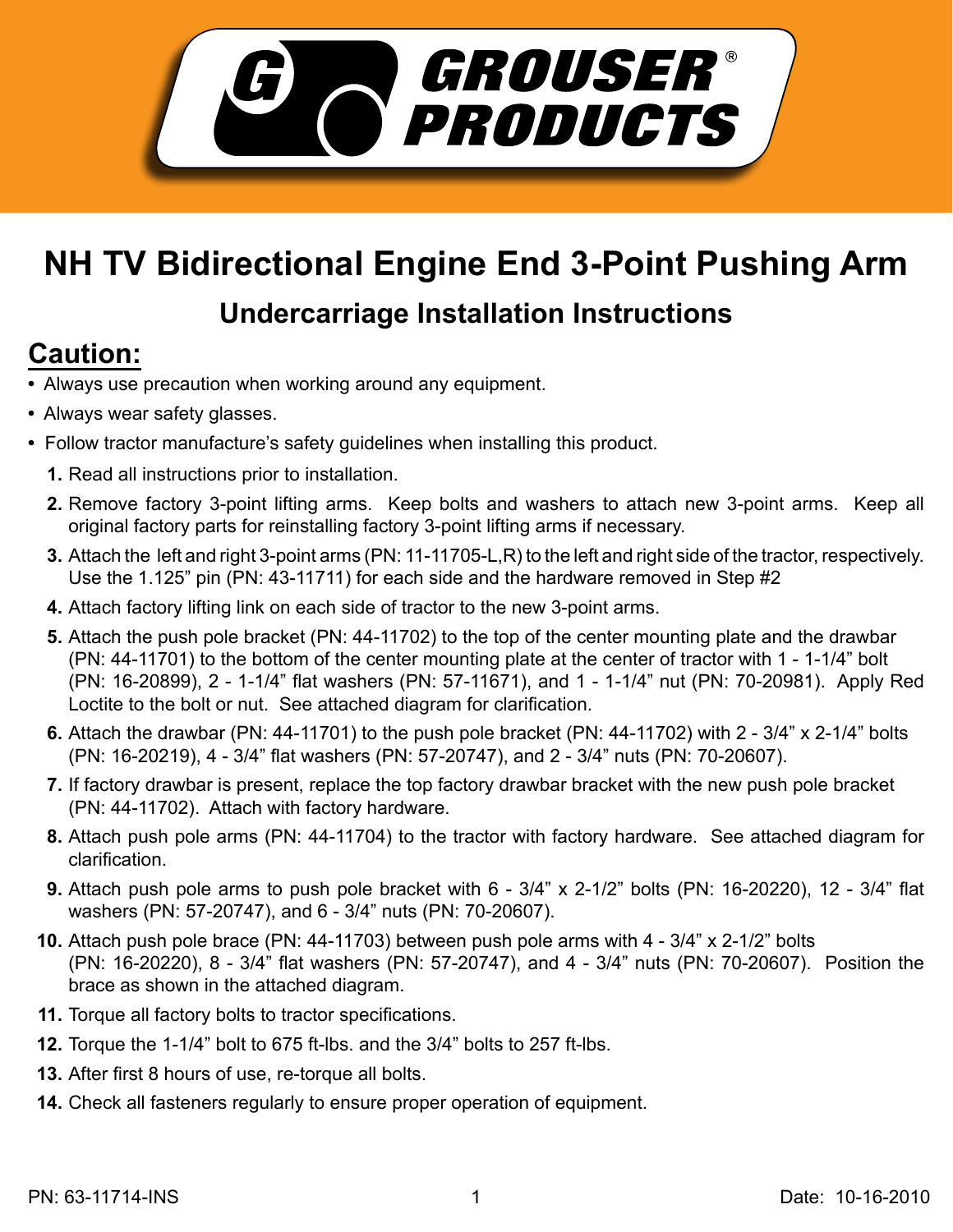

## **NH TV Bidirectional Engine End 3-Point Pushing Arm**

## **Undercarriage Installation Instructions**

## **Caution:**

- Always use precaution when working around any equipment.
- Always wear safety glasses.
- Follow tractor manufacture's safety guidelines when installing this product.
	- **1.** Read all instructions prior to installation.
	- **2.** Remove factory 3-point lifting arms. Keep bolts and washers to attach new 3-point arms. Keep all original factory parts for reinstalling factory 3-point lifting arms if necessary.
	- Attach the left and right 3-point arms (PN: 11-11705-L,R) to the left and right side of the tractor, respectively. **3.** Use the 1.125" pin (PN: 43-11711) for each side and the hardware removed in Step #2
	- Attach factory lifting link on each side of tractor to the new 3-point arms. **4.**
	- **5.** Attach the push pole bracket (PN: 44-11702) to the top of the center mounting plate and the drawbar (PN: 44-11701) to the bottom of the center mounting plate at the center of tractor with 1 - 1-1/4" bolt (PN: 16-20899), 2 - 1-1/4" flat washers (PN: 57-11671), and 1 - 1-1/4" nut (PN: 70-20981). Apply Red Loctite to the bolt or nut. See attached diagram for clarification.
	- Attach the drawbar (PN: 44-11701) to the push pole bracket (PN: 44-11702) with 2 3/4" x 2-1/4" bolts **6.** (PN: 16-20219), 4 - 3/4" flat washers (PN: 57-20747), and 2 - 3/4" nuts (PN: 70-20607).
	- If factory drawbar is present, replace the top factory drawbar bracket with the new push pole bracket **7.** (PN: 44-11702). Attach with factory hardware.
	- Attach push pole arms (PN: 44-11704) to the tractor with factory hardware. See attached diagram for **8.** clarification.
	- Attach push pole arms to push pole bracket with 6 3/4" x 2-1/2" bolts (PN: 16-20220), 12 3/4" flat **9.** washers (PN: 57-20747), and 6 - 3/4" nuts (PN: 70-20607).
	- Attach push pole brace (PN: 44-11703) between push pole arms with 4 3/4" x 2-1/2" bolts **10.** (PN: 16-20220), 8 - 3/4" flat washers (PN: 57-20747), and 4 - 3/4" nuts (PN: 70-20607). Position the brace as shown in the attached diagram.
	- 11. Torque all factory bolts to tractor specifications.
- **12.** Torque the 1-1/4" bolt to 675 ft-lbs. and the 3/4" bolts to 257 ft-lbs.
- **13.** After first 8 hours of use, re-torque all bolts.
- Check all fasteners regularly to ensure proper operation of equipment. **14.**